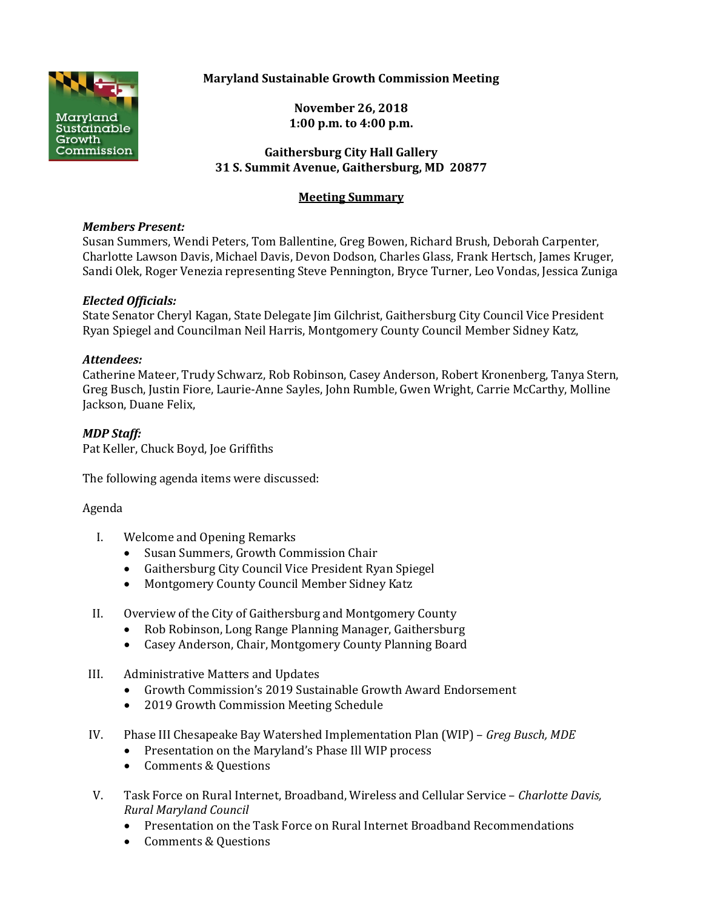

# **Maryland Sustainable Growth Commission Meeting**

**November 26, 2018 1:00 p.m. to 4:00 p.m.**

### **Gaithersburg City Hall Gallery 31 S. Summit Avenue, Gaithersburg, MD 20877**

# **Meeting Summary**

#### *Members Present:*

Susan Summers, Wendi Peters, Tom Ballentine, Greg Bowen, Richard Brush, Deborah Carpenter, Charlotte Lawson Davis, Michael Davis, Devon Dodson, Charles Glass, Frank Hertsch, James Kruger, Sandi Olek, Roger Venezia representing Steve Pennington, Bryce Turner, Leo Vondas, Jessica Zuniga

## *Elected Officials:*

State Senator Cheryl Kagan, State Delegate Jim Gilchrist, Gaithersburg City Council Vice President Ryan Spiegel and Councilman Neil Harris, Montgomery County Council Member Sidney Katz,

#### *Attendees:*

Catherine Mateer, Trudy Schwarz, Rob Robinson, Casey Anderson, Robert Kronenberg, Tanya Stern, Greg Busch, Justin Fiore, Laurie-Anne Sayles, John Rumble, Gwen Wright, Carrie McCarthy, Molline Jackson, Duane Felix,

## *MDP Staff:*

Pat Keller, Chuck Boyd, Joe Griffiths

The following agenda items were discussed:

#### Agenda

- I. Welcome and Opening Remarks
	- Susan Summers, Growth Commission Chair
	- Gaithersburg City Council Vice President Ryan Spiegel
	- Montgomery County Council Member Sidney Katz
- II. Overview of the City of Gaithersburg and Montgomery County
	- Rob Robinson, Long Range Planning Manager, Gaithersburg
	- Casey Anderson, Chair, Montgomery County Planning Board
- III. Administrative Matters and Updates
	- Growth Commission's 2019 Sustainable Growth Award Endorsement
	- 2019 Growth Commission Meeting Schedule
- IV. Phase III Chesapeake Bay Watershed Implementation Plan (WIP) *Greg Busch, MDE*
	- Presentation on the Maryland's Phase Ill WIP process
	- Comments & Questions
- V. Task Force on Rural Internet, Broadband, Wireless and Cellular Service *Charlotte Davis, Rural Maryland Council*
	- Presentation on the Task Force on Rural Internet Broadband Recommendations
	- Comments & Questions